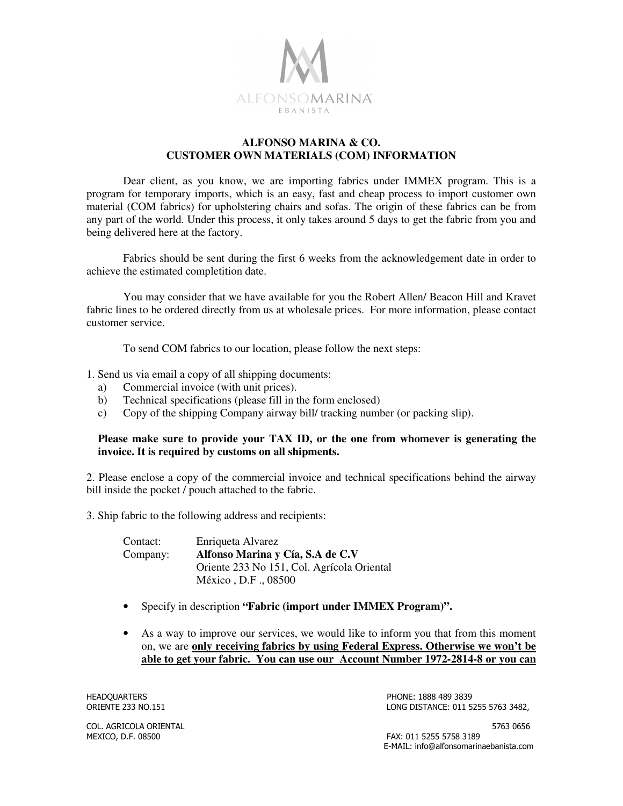

## **ALFONSO MARINA & CO. CUSTOMER OWN MATERIALS (COM) INFORMATION**

 Dear client, as you know, we are importing fabrics under IMMEX program. This is a program for temporary imports, which is an easy, fast and cheap process to import customer own material (COM fabrics) for upholstering chairs and sofas. The origin of these fabrics can be from any part of the world. Under this process, it only takes around 5 days to get the fabric from you and being delivered here at the factory.

 Fabrics should be sent during the first 6 weeks from the acknowledgement date in order to achieve the estimated completition date.

You may consider that we have available for you the Robert Allen/ Beacon Hill and Kravet fabric lines to be ordered directly from us at wholesale prices. For more information, please contact customer service.

To send COM fabrics to our location, please follow the next steps:

1. Send us via email a copy of all shipping documents:

- a) Commercial invoice (with unit prices).
- b) Technical specifications (please fill in the form enclosed)
- c) Copy of the shipping Company airway bill/ tracking number (or packing slip).

## **Please make sure to provide your TAX ID, or the one from whomever is generating the invoice. It is required by customs on all shipments.**

2. Please enclose a copy of the commercial invoice and technical specifications behind the airway bill inside the pocket / pouch attached to the fabric.

3. Ship fabric to the following address and recipients:

| Contact: | Enriqueta Alvarez                          |
|----------|--------------------------------------------|
| Company: | Alfonso Marina y Cía, S.A de C.V           |
|          | Oriente 233 No 151, Col. Agrícola Oriental |
|          | México, D.F., 08500                        |

- Specify in description **"Fabric (import under IMMEX Program)".**
- As a way to improve our services, we would like to inform you that from this moment on, we are **only receiving fabrics by using Federal Express. Otherwise we won't be able to get your fabric. You can use our Account Number 1972-2814-8 or you can**

HEADQUARTERS PHONE: 1888 489 3839 LONG DISTANCE: 011 5255 5763 3482,

COL. AGRICOLA ORIENTAL 5763 0656 MEXICO, D.F. 08500 FAX: 011 5255 5758 3189

E-MAIL: info@alfonsomarinaebanista.com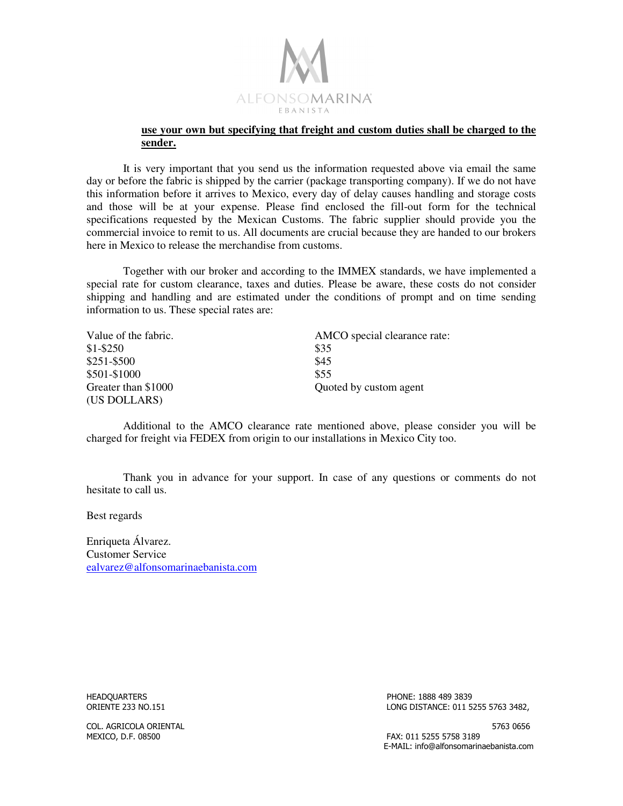

## **use your own but specifying that freight and custom duties shall be charged to the sender.**

 It is very important that you send us the information requested above via email the same day or before the fabric is shipped by the carrier (package transporting company). If we do not have this information before it arrives to Mexico, every day of delay causes handling and storage costs and those will be at your expense. Please find enclosed the fill-out form for the technical specifications requested by the Mexican Customs. The fabric supplier should provide you the commercial invoice to remit to us. All documents are crucial because they are handed to our brokers here in Mexico to release the merchandise from customs.

 Together with our broker and according to the IMMEX standards, we have implemented a special rate for custom clearance, taxes and duties. Please be aware, these costs do not consider shipping and handling and are estimated under the conditions of prompt and on time sending information to us. These special rates are:

| Value of the fabric. | AMCO special clearance rate: |
|----------------------|------------------------------|
| $$1 - $250$          | \$35                         |
| \$251-\$500          | \$45                         |
| \$501-\$1000         | \$55                         |
| Greater than \$1000  | Quoted by custom agent       |
| (US DOLLARS)         |                              |

 Additional to the AMCO clearance rate mentioned above, please consider you will be charged for freight via FEDEX from origin to our installations in Mexico City too.

 Thank you in advance for your support. In case of any questions or comments do not hesitate to call us.

Best regards

Enriqueta Álvarez. Customer Service ealvarez@alfonsomarinaebanista.com

HEADQUARTERS PHONE: 1888 489 3839 LONG DISTANCE: 011 5255 5763 3482,

COL. AGRICOLA ORIENTAL 5763 0656 MEXICO, D.F. 08500 FAX: 011 5255 5758 3189

E-MAIL: info@alfonsomarinaebanista.com